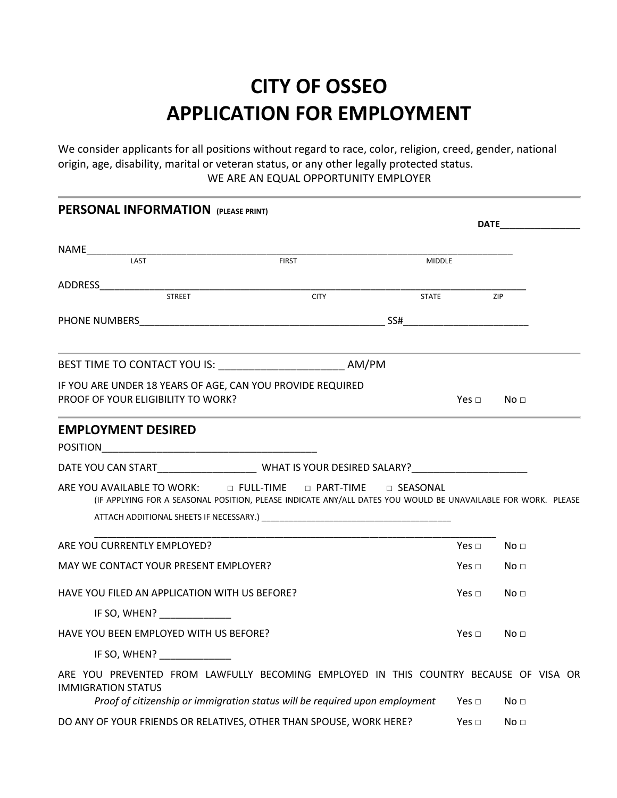# **CITY OF OSSEO APPLICATION FOR EMPLOYMENT**

We consider applicants for all positions without regard to race, color, religion, creed, gender, national origin, age, disability, marital or veteran status, or any other legally protected status. WE ARE AN EQUAL OPPORTUNITY EMPLOYER

| PERSONAL INFORMATION (PLEASE PRINT)                              |                                                         |                                                                                                               |               |             |                 |  |
|------------------------------------------------------------------|---------------------------------------------------------|---------------------------------------------------------------------------------------------------------------|---------------|-------------|-----------------|--|
|                                                                  |                                                         |                                                                                                               |               | <b>DATE</b> |                 |  |
| $\begin{array}{c}\nNAME \hspace{1.5cm}\textbf{11.1} \end{array}$ | <u> 1980 - Johann Barbara, martin amerikan basar da</u> |                                                                                                               |               |             |                 |  |
|                                                                  |                                                         | <b>FIRST</b>                                                                                                  | <b>MIDDLE</b> |             |                 |  |
|                                                                  | <b>STREET</b>                                           | <b>CITY</b>                                                                                                   |               |             | ZIP             |  |
|                                                                  |                                                         |                                                                                                               | <b>STATE</b>  |             |                 |  |
|                                                                  |                                                         |                                                                                                               |               |             |                 |  |
|                                                                  |                                                         |                                                                                                               |               |             |                 |  |
| PROOF OF YOUR ELIGIBILITY TO WORK?                               |                                                         | IF YOU ARE UNDER 18 YEARS OF AGE, CAN YOU PROVIDE REQUIRED                                                    |               | Yes $\Box$  | No <sub>1</sub> |  |
| <b>EMPLOYMENT DESIRED</b>                                        |                                                         |                                                                                                               |               |             |                 |  |
|                                                                  |                                                         |                                                                                                               |               |             |                 |  |
| ARE YOU AVAILABLE TO WORK:                                       |                                                         | $\Box$ FULL-TIME $\Box$ PART-TIME                                                                             | □ SEASONAL    |             |                 |  |
|                                                                  |                                                         | (IF APPLYING FOR A SEASONAL POSITION, PLEASE INDICATE ANY/ALL DATES YOU WOULD BE UNAVAILABLE FOR WORK. PLEASE |               |             |                 |  |
|                                                                  |                                                         |                                                                                                               |               |             |                 |  |
| ARE YOU CURRENTLY EMPLOYED?                                      |                                                         |                                                                                                               |               | Yes $\Box$  | No <sub>1</sub> |  |
| MAY WE CONTACT YOUR PRESENT EMPLOYER?                            |                                                         |                                                                                                               |               | Yes $\Box$  | No <sub>1</sub> |  |
| HAVE YOU FILED AN APPLICATION WITH US BEFORE?                    |                                                         |                                                                                                               |               | Yes $\Box$  | No $\sqcap$     |  |
|                                                                  | IF SO, WHEN? ______________                             |                                                                                                               |               |             |                 |  |
| HAVE YOU BEEN EMPLOYED WITH US BEFORE?                           |                                                         |                                                                                                               |               | Yes $\Box$  | No <sub>1</sub> |  |
|                                                                  | IF SO, WHEN? _____________                              |                                                                                                               |               |             |                 |  |
| <b>IMMIGRATION STATUS</b>                                        |                                                         | ARE YOU PREVENTED FROM LAWFULLY BECOMING EMPLOYED IN THIS COUNTRY BECAUSE OF VISA OR                          |               |             |                 |  |
|                                                                  |                                                         | Proof of citizenship or immigration status will be required upon employment                                   |               | Yes $\Box$  | No <sub>1</sub> |  |
|                                                                  |                                                         | DO ANY OF YOUR FRIENDS OR RELATIVES, OTHER THAN SPOUSE, WORK HERE?                                            |               | Yes $\Box$  | No <sub>1</sub> |  |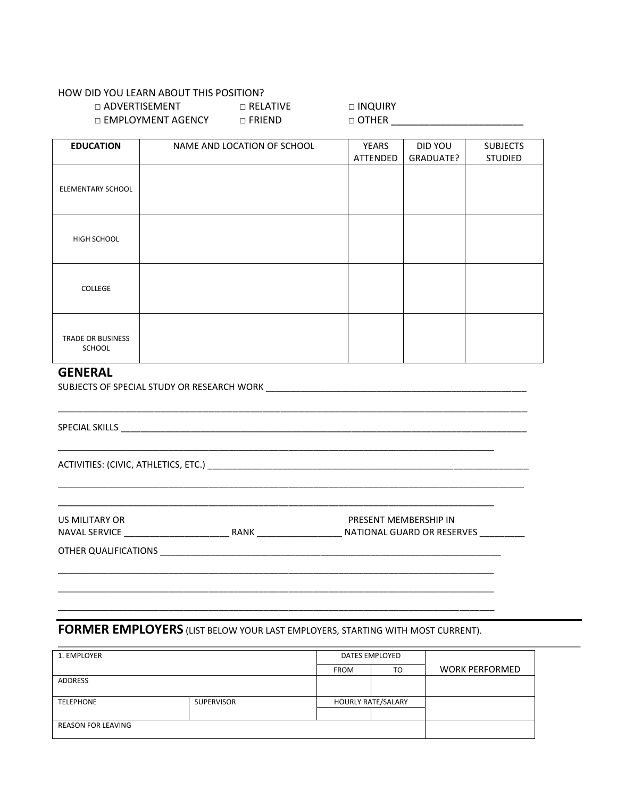#### HOW DID YOU LEARN ABOUT THIS POSITION?

| $\Box$ ADVERTISEMENT     | $\sqcap$ RFLATIVF | □ INQUIRY      |
|--------------------------|-------------------|----------------|
| $\Box$ EMPLOYMENT AGENCY | $\sqcap$ FRIFND   | $\sqcap$ OTHER |

| <b>EDUCATION</b>            | NAME AND LOCATION OF SCHOOL | <b>YEARS</b> | DID YOU   | <b>SUBJECTS</b> |
|-----------------------------|-----------------------------|--------------|-----------|-----------------|
|                             |                             | ATTENDED     | GRADUATE? | <b>STUDIED</b>  |
| ELEMENTARY SCHOOL           |                             |              |           |                 |
| HIGH SCHOOL                 |                             |              |           |                 |
| <b>COLLEGE</b>              |                             |              |           |                 |
| TRADE OR BUSINESS<br>SCHOOL |                             |              |           |                 |

#### **GENERAL**

| SUBJECTS OF SPECIAL STUDY OR RESEARCH WORK |  |
|--------------------------------------------|--|
|                                            |  |

| US MILITARY OR | PRESENT MEMBERSHIP IN |
|----------------|-----------------------|
|                |                       |
|                |                       |

## **FORMER EMPLOYERS** (LIST BELOW YOUR LAST EMPLOYERS, STARTING WITH MOST CURRENT).

\_\_\_\_\_\_\_\_\_\_\_\_\_\_\_\_\_\_\_\_\_\_\_\_\_\_\_\_\_\_\_\_\_\_\_\_\_\_\_\_\_\_\_\_\_\_\_\_\_\_\_\_\_\_\_\_\_\_\_\_\_\_\_\_\_\_\_\_\_\_\_\_\_\_\_\_\_\_\_\_\_\_\_\_\_\_\_

| 1. EMPLOYER                           |  | DATES EMPLOYED     |    |                       |
|---------------------------------------|--|--------------------|----|-----------------------|
|                                       |  | <b>FROM</b>        | TO | <b>WORK PERFORMED</b> |
| <b>ADDRESS</b>                        |  |                    |    |                       |
| <b>TELEPHONE</b><br><b>SUPERVISOR</b> |  | HOURLY RATE/SALARY |    |                       |
|                                       |  |                    |    |                       |
| <b>REASON FOR LEAVING</b>             |  |                    |    |                       |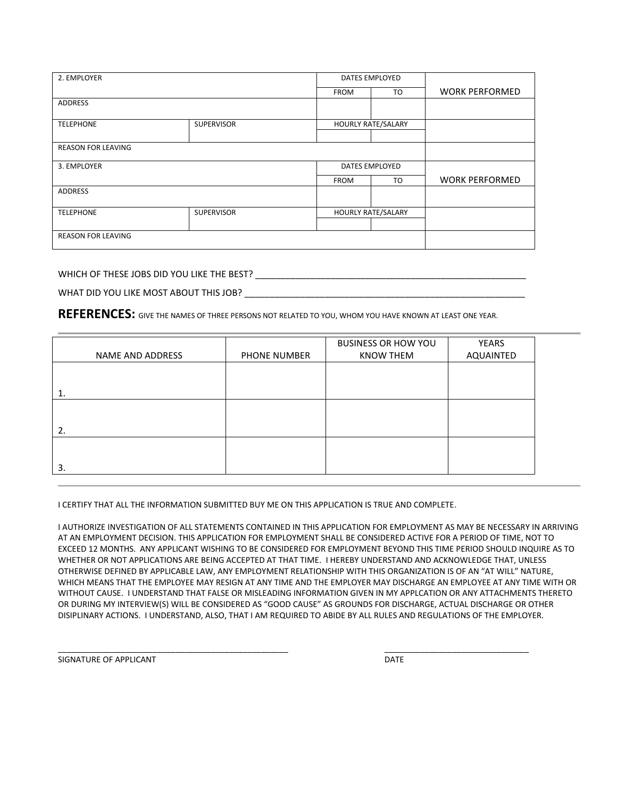| 2. EMPLOYER                           |                   | DATES EMPLOYED            |    |                       |
|---------------------------------------|-------------------|---------------------------|----|-----------------------|
|                                       |                   | <b>FROM</b>               | TO | <b>WORK PERFORMED</b> |
| <b>ADDRESS</b>                        |                   |                           |    |                       |
| <b>SUPERVISOR</b><br><b>TELEPHONE</b> |                   | HOURLY RATE/SALARY        |    |                       |
| <b>REASON FOR LEAVING</b>             |                   |                           |    |                       |
| 3. EMPLOYER                           |                   | DATES EMPLOYED            |    |                       |
|                                       |                   | <b>FROM</b>               | TO | <b>WORK PERFORMED</b> |
| <b>ADDRESS</b>                        |                   |                           |    |                       |
| <b>TELEPHONE</b>                      | <b>SUPERVISOR</b> | <b>HOURLY RATE/SALARY</b> |    |                       |
| <b>REASON FOR LEAVING</b>             |                   |                           |    |                       |

WHICH OF THESE JOBS DID YOU LIKE THE BEST? \_\_\_\_\_\_\_\_\_\_\_\_\_\_\_\_\_\_\_\_\_\_\_\_\_\_\_\_\_\_\_\_\_\_\_\_\_\_\_\_\_\_\_\_\_\_\_\_\_\_\_\_\_\_

WHAT DID YOU LIKE MOST ABOUT THIS JOB?

REFERENCES: GIVE THE NAMES OF THREE PERSONS NOT RELATED TO YOU, WHOM YOU HAVE KNOWN AT LEAST ONE YEAR.

|                  |              | <b>BUSINESS OR HOW YOU</b> | YEARS     |
|------------------|--------------|----------------------------|-----------|
| NAME AND ADDRESS | PHONE NUMBER | <b>KNOW THEM</b>           | AQUAINTED |
|                  |              |                            |           |
|                  |              |                            |           |
| 1.               |              |                            |           |
|                  |              |                            |           |
|                  |              |                            |           |
| 2.               |              |                            |           |
|                  |              |                            |           |
|                  |              |                            |           |
| 3.               |              |                            |           |

I CERTIFY THAT ALL THE INFORMATION SUBMITTED BUY ME ON THIS APPLICATION IS TRUE AND COMPLETE.

I AUTHORIZE INVESTIGATION OF ALL STATEMENTS CONTAINED IN THIS APPLICATION FOR EMPLOYMENT AS MAY BE NECESSARY IN ARRIVING AT AN EMPLOYMENT DECISION. THIS APPLICATION FOR EMPLOYMENT SHALL BE CONSIDERED ACTIVE FOR A PERIOD OF TIME, NOT TO EXCEED 12 MONTHS. ANY APPLICANT WISHING TO BE CONSIDERED FOR EMPLOYMENT BEYOND THIS TIME PERIOD SHOULD INQUIRE AS TO WHETHER OR NOT APPLICATIONS ARE BEING ACCEPTED AT THAT TIME. I HEREBY UNDERSTAND AND ACKNOWLEDGE THAT, UNLESS OTHERWISE DEFINED BY APPLICABLE LAW, ANY EMPLOYMENT RELATIONSHIP WITH THIS ORGANIZATION IS OF AN "AT WILL" NATURE, WHICH MEANS THAT THE EMPLOYEE MAY RESIGN AT ANY TIME AND THE EMPLOYER MAY DISCHARGE AN EMPLOYEE AT ANY TIME WITH OR WITHOUT CAUSE. I UNDERSTAND THAT FALSE OR MISLEADING INFORMATION GIVEN IN MY APPLCATION OR ANY ATTACHMENTS THERETO OR DURING MY INTERVIEW(S) WILL BE CONSIDERED AS "GOOD CAUSE" AS GROUNDS FOR DISCHARGE, ACTUAL DISCHARGE OR OTHER DISIPLINARY ACTIONS. I UNDERSTAND, ALSO, THAT I AM REQUIRED TO ABIDE BY ALL RULES AND REGULATIONS OF THE EMPLOYER.

\_\_\_\_\_\_\_\_\_\_\_\_\_\_\_\_\_\_\_\_\_\_\_\_\_\_\_\_\_\_\_\_\_\_\_\_\_\_\_\_\_\_\_\_\_\_\_\_\_\_\_ \_\_\_\_\_\_\_\_\_\_\_\_\_\_\_\_\_\_\_\_\_\_\_\_\_\_\_\_\_\_\_\_

SIGNATURE OF APPLICANT **DATE**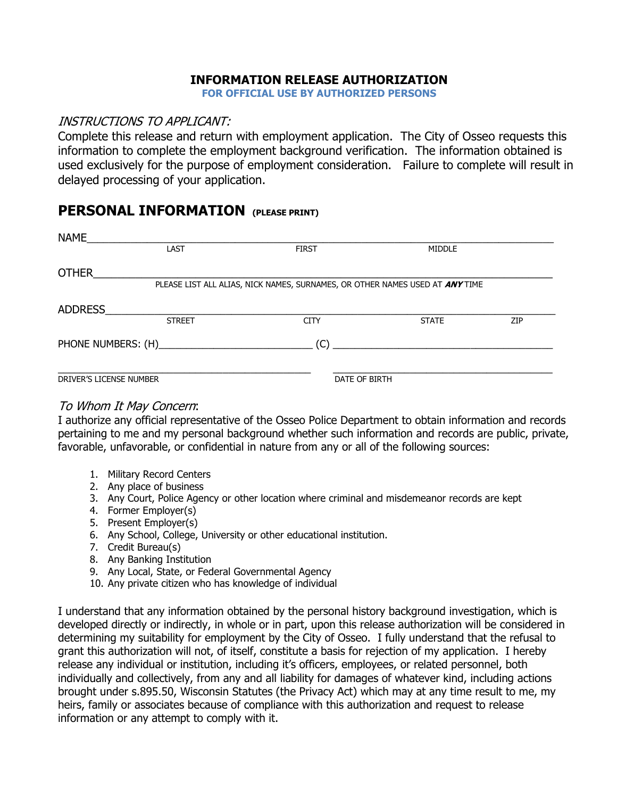#### **INFORMATION RELEASE AUTHORIZATION**

**FOR OFFICIAL USE BY AUTHORIZED PERSONS**

#### INSTRUCTIONS TO APPLICANT:

Complete this release and return with employment application. The City of Osseo requests this information to complete the employment background verification. The information obtained is used exclusively for the purpose of employment consideration. Failure to complete will result in delayed processing of your application.

### **PERSONAL INFORMATION (PLEASE PRINT)**

| <b>NAME</b>             |                                                                                                                      |                                                                             |               |     |
|-------------------------|----------------------------------------------------------------------------------------------------------------------|-----------------------------------------------------------------------------|---------------|-----|
|                         | LAST                                                                                                                 | <b>FIRST</b>                                                                | <b>MIDDLE</b> |     |
| <b>OTHER</b>            |                                                                                                                      | PLEASE LIST ALL ALIAS, NICK NAMES, SURNAMES, OR OTHER NAMES USED AT ANYTIME |               |     |
| ADDRESS                 | <b>STREET</b>                                                                                                        | <b>CITY</b>                                                                 | <b>STATE</b>  | ZIP |
| PHONE NUMBERS: (H)      | <u> 1980 - Jan Barbara Barat, prima popular popular popular popular popular popular popular popular popular popu</u> | (C)                                                                         |               |     |
| DRIVER'S LICENSE NUMBER |                                                                                                                      | DATE OF BIRTH                                                               |               |     |

#### To Whom It May Concern:

I authorize any official representative of the Osseo Police Department to obtain information and records pertaining to me and my personal background whether such information and records are public, private, favorable, unfavorable, or confidential in nature from any or all of the following sources:

- 1. Military Record Centers
- 2. Any place of business
- 3. Any Court, Police Agency or other location where criminal and misdemeanor records are kept
- 4. Former Employer(s)
- 5. Present Employer(s)
- 6. Any School, College, University or other educational institution.
- 7. Credit Bureau(s)
- 8. Any Banking Institution
- 9. Any Local, State, or Federal Governmental Agency
- 10. Any private citizen who has knowledge of individual

I understand that any information obtained by the personal history background investigation, which is developed directly or indirectly, in whole or in part, upon this release authorization will be considered in determining my suitability for employment by the City of Osseo. I fully understand that the refusal to grant this authorization will not, of itself, constitute a basis for rejection of my application. I hereby release any individual or institution, including it's officers, employees, or related personnel, both individually and collectively, from any and all liability for damages of whatever kind, including actions brought under s.895.50, Wisconsin Statutes (the Privacy Act) which may at any time result to me, my heirs, family or associates because of compliance with this authorization and request to release information or any attempt to comply with it.